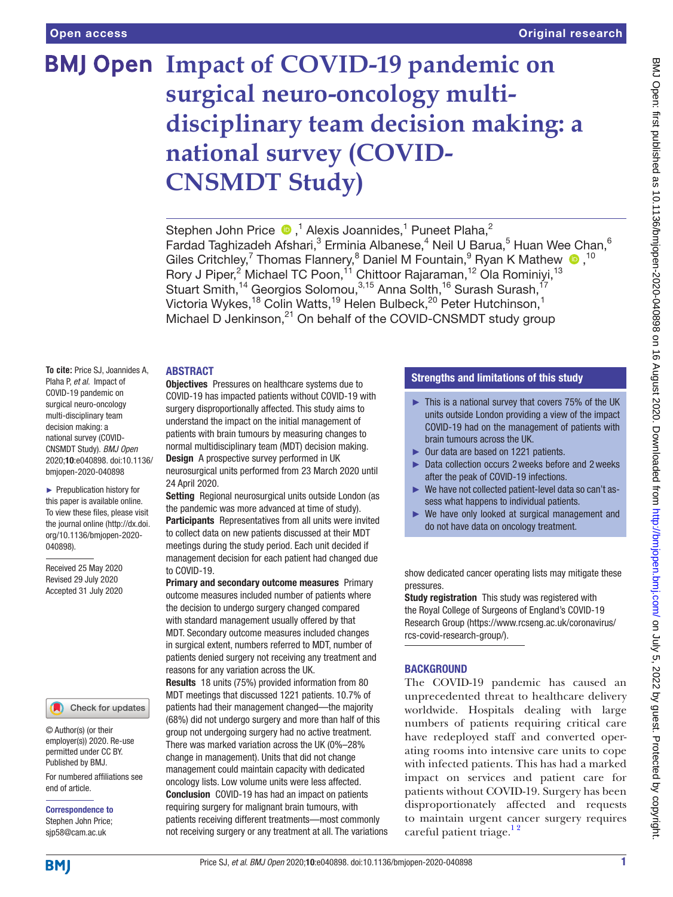# **BMJ Open Impact of COVID-19 pandemic on surgical neuro-oncology multidisciplinary team decision making: a national survey (COVID-CNSMDT Study)**

Stephen John Price  $\bigcirc$ ,<sup>1</sup> Alexis Joannides,<sup>1</sup> Puneet Plaha,<sup>2</sup> Fardad Taghizadeh Afshari, $^3$  Erminia Albanese, $^4$  Neil U Barua, $^5$  Huan Wee Chan, $^6$ GilesCritchley,<sup>7</sup> Thomas Flannery,<sup>8</sup> Daniel M Fountain,<sup>9</sup> Ryan K Mathew  $\bullet$ ,<sup>10</sup> Rory J Piper,<sup>2</sup> Michael TC Poon,<sup>11</sup> Chittoor Rajaraman,<sup>12</sup> Ola Rominiyi,<sup>13</sup> Stuart Smith,<sup>14</sup> Georgios Solomou,<sup>3,15</sup> Anna Solth,<sup>16</sup> Surash Surash,<sup>17</sup> Victoria Wykes,<sup>18</sup> Colin Watts,<sup>19</sup> Helen Bulbeck,<sup>20</sup> Peter Hutchinson,<sup>1</sup> Michael D Jenkinson,<sup>21</sup> On behalf of the COVID-CNSMDT study group

### ABSTRACT

**To cite:** Price SJ, Joannides A, Plaha P, *et al*. Impact of COVID-19 pandemic on surgical neuro-oncology multi-disciplinary team decision making: a national survey (COVID-CNSMDT Study). *BMJ Open* 2020;10:e040898. doi:10.1136/ bmjopen-2020-040898

► Prepublication history for this paper is available online. To view these files, please visit the journal online (http://dx.doi. org/10.1136/bmjopen-2020- 040898).

Received 25 May 2020 Revised 29 July 2020 Accepted 31 July 2020

## Check for updates

© Author(s) (or their employer(s)) 2020. Re-use permitted under CC BY. Published by BMJ.

For numbered affiliations see end of article.

Correspondence to Stephen John Price; sjp58@cam.ac.uk

**Objectives** Pressures on healthcare systems due to COVID-19 has impacted patients without COVID-19 with surgery disproportionally affected. This study aims to understand the impact on the initial management of patients with brain tumours by measuring changes to normal multidisciplinary team (MDT) decision making. Design A prospective survey performed in UK neurosurgical units performed from 23 March 2020 until 24 April 2020.

Setting Regional neurosurgical units outside London (as the pandemic was more advanced at time of study). Participants Representatives from all units were invited to collect data on new patients discussed at their MDT meetings during the study period. Each unit decided if management decision for each patient had changed due to COVID-19.

Primary and secondary outcome measures Primary outcome measures included number of patients where the decision to undergo surgery changed compared with standard management usually offered by that MDT. Secondary outcome measures included changes in surgical extent, numbers referred to MDT, number of patients denied surgery not receiving any treatment and reasons for any variation across the UK.

Results 18 units (75%) provided information from 80 MDT meetings that discussed 1221 patients. 10.7% of patients had their management changed—the majority (68%) did not undergo surgery and more than half of this group not undergoing surgery had no active treatment. There was marked variation across the UK (0%–28% change in management). Units that did not change management could maintain capacity with dedicated oncology lists. Low volume units were less affected. Conclusion COVID-19 has had an impact on patients requiring surgery for malignant brain tumours, with patients receiving different treatments—most commonly not receiving surgery or any treatment at all. The variations

## Strengths and limitations of this study

- $\blacktriangleright$  This is a national survey that covers 75% of the UK units outside London providing a view of the impact COVID-19 had on the management of patients with brain tumours across the UK.
- ► Our data are based on 1221 patients.
- ► Data collection occurs 2weeks before and 2weeks after the peak of COVID-19 infections.
- We have not collected patient-level data so can't assess what happens to individual patients.
- ► We have only looked at surgical management and do not have data on oncology treatment.

show dedicated cancer operating lists may mitigate these pressures.

Study registration This study was registered with the Royal College of Surgeons of England's COVID-19 Research Group ([https://www.rcseng.ac.uk/coronavirus/](https://www.rcseng.ac.uk/coronavirus/rcs-covid-research-group/) [rcs-covid-research-group/](https://www.rcseng.ac.uk/coronavirus/rcs-covid-research-group/)).

## BACKGROUND

The COVID-19 pandemic has caused an unprecedented threat to healthcare delivery worldwide. Hospitals dealing with large numbers of patients requiring critical care have redeployed staff and converted operating rooms into intensive care units to cope with infected patients. This has had a marked impact on services and patient care for patients without COVID-19. Surgery has been disproportionately affected and requests to maintain urgent cancer surgery requires careful patient triage.<sup>12</sup>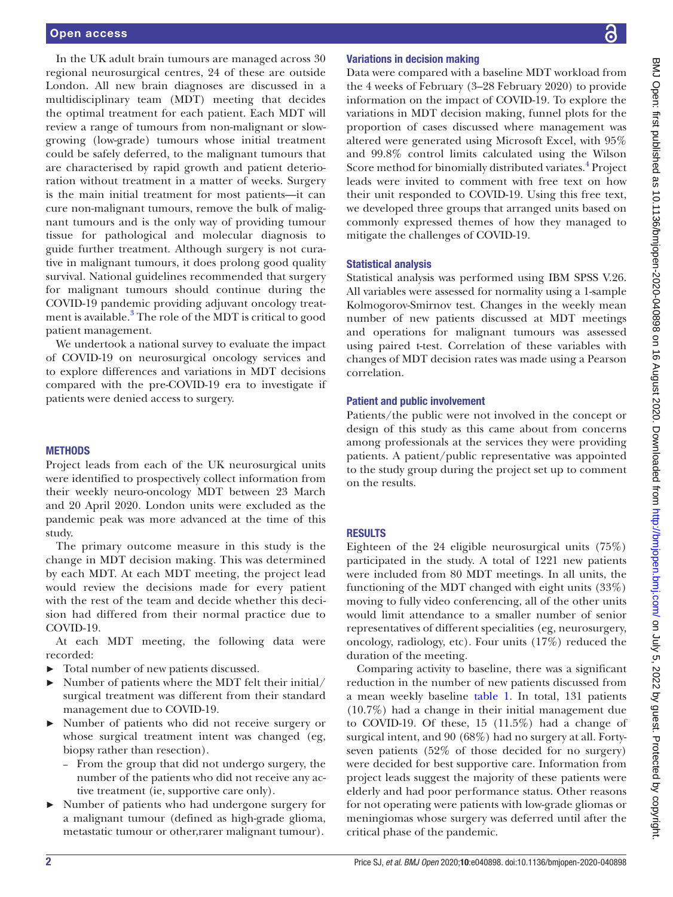In the UK adult brain tumours are managed across 30 regional neurosurgical centres, 24 of these are outside London. All new brain diagnoses are discussed in a multidisciplinary team (MDT) meeting that decides the optimal treatment for each patient. Each MDT will review a range of tumours from non-malignant or slowgrowing (low-grade) tumours whose initial treatment could be safely deferred, to the malignant tumours that are characterised by rapid growth and patient deterioration without treatment in a matter of weeks. Surgery is the main initial treatment for most patients—it can cure non-malignant tumours, remove the bulk of malignant tumours and is the only way of providing tumour tissue for pathological and molecular diagnosis to guide further treatment. Although surgery is not curative in malignant tumours, it does prolong good quality survival. National guidelines recommended that surgery for malignant tumours should continue during the COVID-19 pandemic providing adjuvant oncology treat-ment is available.<sup>[3](#page-4-1)</sup> The role of the MDT is critical to good patient management.

We undertook a national survey to evaluate the impact of COVID-19 on neurosurgical oncology services and to explore differences and variations in MDT decisions compared with the pre-COVID-19 era to investigate if patients were denied access to surgery.

### **METHODS**

Project leads from each of the UK neurosurgical units were identified to prospectively collect information from their weekly neuro-oncology MDT between 23 March and 20 April 2020. London units were excluded as the pandemic peak was more advanced at the time of this study.

The primary outcome measure in this study is the change in MDT decision making. This was determined by each MDT. At each MDT meeting, the project lead would review the decisions made for every patient with the rest of the team and decide whether this decision had differed from their normal practice due to COVID-19.

At each MDT meeting, the following data were recorded:

- ► Total number of new patients discussed.
- ► Number of patients where the MDT felt their initial/ surgical treatment was different from their standard management due to COVID-19.
- ► Number of patients who did not receive surgery or whose surgical treatment intent was changed (eg, biopsy rather than resection).
	- From the group that did not undergo surgery, the number of the patients who did not receive any active treatment (ie, supportive care only).
- ► Number of patients who had undergone surgery for a malignant tumour (defined as high-grade glioma, metastatic tumour or other,rarer malignant tumour).

### Variations in decision making

Data were compared with a baseline MDT workload from the 4 weeks of February (3–28 February 2020) to provide information on the impact of COVID-19. To explore the variations in MDT decision making, funnel plots for the proportion of cases discussed where management was altered were generated using Microsoft Excel, with 95% and 99.8% control limits calculated using the Wilson Score method for binomially distributed variates.<sup>[4](#page-4-2)</sup> Project leads were invited to comment with free text on how their unit responded to COVID-19. Using this free text, we developed three groups that arranged units based on commonly expressed themes of how they managed to mitigate the challenges of COVID-19.

### Statistical analysis

Statistical analysis was performed using IBM SPSS V.26. All variables were assessed for normality using a 1-sample Kolmogorov-Smirnov test. Changes in the weekly mean number of new patients discussed at MDT meetings and operations for malignant tumours was assessed using paired t-test. Correlation of these variables with changes of MDT decision rates was made using a Pearson correlation.

#### Patient and public involvement

Patients/the public were not involved in the concept or design of this study as this came about from concerns among professionals at the services they were providing patients. A patient/public representative was appointed to the study group during the project set up to comment on the results.

### **RESULTS**

Eighteen of the 24 eligible neurosurgical units (75%) participated in the study. A total of 1221 new patients were included from 80 MDT meetings. In all units, the functioning of the MDT changed with eight units (33%) moving to fully video conferencing, all of the other units would limit attendance to a smaller number of senior representatives of different specialities (eg, neurosurgery, oncology, radiology, etc). Four units (17%) reduced the duration of the meeting.

Comparing activity to baseline, there was a significant reduction in the number of new patients discussed from a mean weekly baseline [table](#page-2-0) 1. In total, 131 patients (10.7%) had a change in their initial management due to COVID-19. Of these, 15 (11.5%) had a change of surgical intent, and 90 (68%) had no surgery at all. Fortyseven patients (52% of those decided for no surgery) were decided for best supportive care. Information from project leads suggest the majority of these patients were elderly and had poor performance status. Other reasons for not operating were patients with low-grade gliomas or meningiomas whose surgery was deferred until after the critical phase of the pandemic.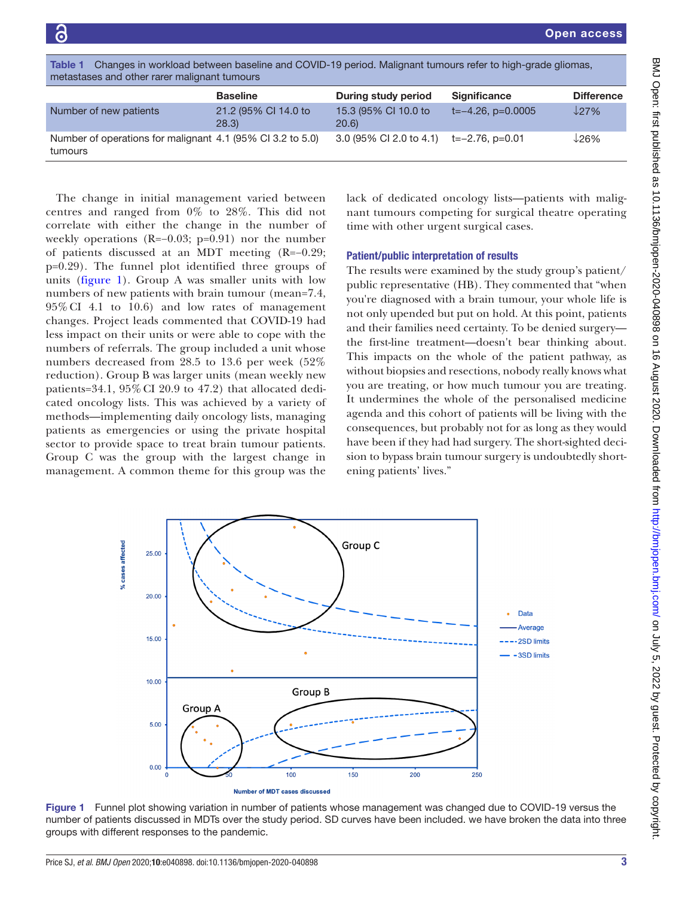<span id="page-2-0"></span>

| Changes in workload between baseline and COVID-19 period. Malignant tumours refer to high-grade gliomas,<br>Table 1<br>metastases and other rarer malignant tumours |                              |                                     |                        |                   |
|---------------------------------------------------------------------------------------------------------------------------------------------------------------------|------------------------------|-------------------------------------|------------------------|-------------------|
|                                                                                                                                                                     | <b>Baseline</b>              | During study period                 | <b>Significance</b>    | <b>Difference</b> |
| Number of new patients                                                                                                                                              | 21.2 (95% CI 14.0 to<br>28.3 | 15.3 (95% CI 10.0 to<br><b>20.6</b> | $t=-4.26$ , $p=0.0005$ | 127%              |
| Number of operations for malignant 4.1 (95% CI 3.2 to 5.0)<br>tumours                                                                                               |                              | 3.0 (95% CI 2.0 to 4.1)             | t=–2.76. p=0.01        | $126\%$           |
|                                                                                                                                                                     |                              |                                     |                        |                   |

The change in initial management varied between centres and ranged from 0% to 28%. This did not correlate with either the change in the number of weekly operations (R=−0.03; p=0.91) nor the number of patients discussed at an MDT meeting (R=−0.29; p=0.29). The funnel plot identified three groups of units ([figure](#page-2-1) 1). Group A was smaller units with low numbers of new patients with brain tumour (mean=7.4, 95%CI 4.1 to 10.6) and low rates of management changes. Project leads commented that COVID-19 had less impact on their units or were able to cope with the numbers of referrals. The group included a unit whose numbers decreased from 28.5 to 13.6 per week (52% reduction). Group B was larger units (mean weekly new patients= $34.1$ ,  $95\%$  CI 20.9 to  $47.2$ ) that allocated dedicated oncology lists. This was achieved by a variety of methods—implementing daily oncology lists, managing patients as emergencies or using the private hospital sector to provide space to treat brain tumour patients. Group C was the group with the largest change in management. A common theme for this group was the

lack of dedicated oncology lists—patients with malignant tumours competing for surgical theatre operating time with other urgent surgical cases.

## Patient/public interpretation of results

The results were examined by the study group's patient/ public representative (HB). They commented that "when you're diagnosed with a brain tumour, your whole life is not only upended but put on hold. At this point, patients and their families need certainty. To be denied surgery the first-line treatment—doesn't bear thinking about*.* This impacts on the whole of the patient pathway, as without biopsies and resections, nobody really knows what you are treating, or how much tumour you are treating. It undermines the whole of the personalised medicine agenda and this cohort of patients will be living with the consequences, but probably not for as long as they would have been if they had had surgery. The short-sighted decision to bypass brain tumour surgery is undoubtedly shortening patients' lives."



<span id="page-2-1"></span>Figure 1 Funnel plot showing variation in number of patients whose management was changed due to COVID-19 versus the number of patients discussed in MDTs over the study period. SD curves have been included. we have broken the data into three groups with different responses to the pandemic.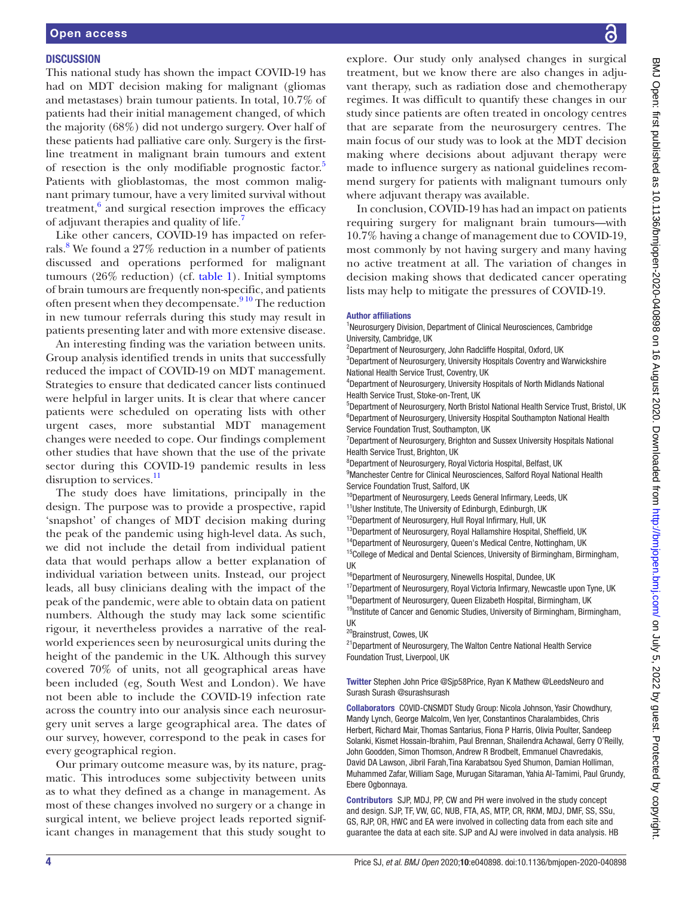### **DISCUSSION**

This national study has shown the impact COVID-19 has had on MDT decision making for malignant (gliomas and metastases) brain tumour patients. In total, 10.7% of patients had their initial management changed, of which the majority (68%) did not undergo surgery. Over half of these patients had palliative care only. Surgery is the firstline treatment in malignant brain tumours and extent of resection is the only modifiable prognostic factor.<sup>[5](#page-4-3)</sup> Patients with glioblastomas, the most common malignant primary tumour, have a very limited survival without treatment, $6$  and surgical resection improves the efficacy of adjuvant therapies and quality of life.<sup>[7](#page-4-5)</sup>

Like other cancers, COVID-19 has impacted on referrals.<sup>8</sup> We found a 27% reduction in a number of patients discussed and operations performed for malignant tumours (26% reduction) (cf. [table](#page-2-0) 1). Initial symptoms of brain tumours are frequently non-specific, and patients often present when they decompensate.<sup>910</sup> The reduction in new tumour referrals during this study may result in patients presenting later and with more extensive disease.

An interesting finding was the variation between units. Group analysis identified trends in units that successfully reduced the impact of COVID-19 on MDT management. Strategies to ensure that dedicated cancer lists continued were helpful in larger units. It is clear that where cancer patients were scheduled on operating lists with other urgent cases, more substantial MDT management changes were needed to cope. Our findings complement other studies that have shown that the use of the private sector during this COVID-19 pandemic results in less disruption to services.<sup>[11](#page-4-8)</sup>

The study does have limitations, principally in the design. The purpose was to provide a prospective, rapid 'snapshot' of changes of MDT decision making during the peak of the pandemic using high-level data. As such, we did not include the detail from individual patient data that would perhaps allow a better explanation of individual variation between units. Instead, our project leads, all busy clinicians dealing with the impact of the peak of the pandemic, were able to obtain data on patient numbers. Although the study may lack some scientific rigour, it nevertheless provides a narrative of the realworld experiences seen by neurosurgical units during the height of the pandemic in the UK. Although this survey covered 70% of units, not all geographical areas have been included (eg, South West and London). We have not been able to include the COVID-19 infection rate across the country into our analysis since each neurosurgery unit serves a large geographical area. The dates of our survey, however, correspond to the peak in cases for every geographical region.

Our primary outcome measure was, by its nature, pragmatic. This introduces some subjectivity between units as to what they defined as a change in management. As most of these changes involved no surgery or a change in surgical intent, we believe project leads reported significant changes in management that this study sought to

explore. Our study only analysed changes in surgical treatment, but we know there are also changes in adjuvant therapy, such as radiation dose and chemotherapy regimes. It was difficult to quantify these changes in our study since patients are often treated in oncology centres that are separate from the neurosurgery centres. The main focus of our study was to look at the MDT decision making where decisions about adjuvant therapy were made to influence surgery as national guidelines recommend surgery for patients with malignant tumours only where adjuvant therapy was available.

In conclusion, COVID-19 has had an impact on patients requiring surgery for malignant brain tumours—with 10.7% having a change of management due to COVID-19, most commonly by not having surgery and many having no active treatment at all. The variation of changes in decision making shows that dedicated cancer operating lists may help to mitigate the pressures of COVID-19.

#### Author affiliations

<sup>1</sup>Neurosurgery Division, Department of Clinical Neurosciences, Cambridge University, Cambridge, UK

<sup>2</sup>Department of Neurosurgery, John Radcliffe Hospital, Oxford, UK

<sup>3</sup>Department of Neurosurgery, University Hospitals Coventry and Warwickshire National Health Service Trust, Coventry, UK

4 Department of Neurosurgery, University Hospitals of North Midlands National Health Service Trust, Stoke-on-Trent, UK

<sup>5</sup>Department of Neurosurgery, North Bristol National Health Service Trust, Bristol, UK <sup>6</sup>Department of Neurosurgery, University Hospital Southampton National Health Service Foundation Trust, Southampton, UK

<sup>7</sup>Department of Neurosurgery, Brighton and Sussex University Hospitals National Health Service Trust, Brighton, UK

8 Department of Neurosurgery, Royal Victoria Hospital, Belfast, UK

<sup>9</sup>Manchester Centre for Clinical Neurosciences, Salford Royal National Health Service Foundation Trust, Salford, UK

 $^{10}$ Department of Neurosurgery, Leeds General Infirmary, Leeds, UK

<sup>11</sup>Usher Institute, The University of Edinburgh, Edinburgh, UK

<sup>12</sup>Department of Neurosurgery, Hull Royal Infirmary, Hull, UK

<sup>13</sup>Department of Neurosurgery, Royal Hallamshire Hospital, Sheffield, UK

<sup>14</sup>Department of Neurosurgery, Queen's Medical Centre, Nottingham, UK  $15$ College of Medical and Dental Sciences, University of Birmingham, Birmingham, UK

<sup>16</sup>Department of Neurosurgery, Ninewells Hospital, Dundee, UK

<sup>17</sup>Department of Neurosurgery, Royal Victoria Infirmary, Newcastle upon Tyne, UK

<sup>18</sup>Department of Neurosurgery, Queen Elizabeth Hospital, Birmingham, UK <sup>19</sup>Institute of Cancer and Genomic Studies, University of Birmingham, Birmingham, UK

<sup>20</sup>Brainstrust, Cowes, UK

<sup>21</sup> Department of Neurosurgery, The Walton Centre National Health Service Foundation Trust, Liverpool, UK

Twitter Stephen John Price [@Sjp58Price](https://twitter.com/Sjp58Price), Ryan K Mathew [@LeedsNeuro](https://twitter.com/LeedsNeuro) and Surash Surash [@surashsurash](https://twitter.com/surashsurash)

Collaborators COVID-CNSMDT Study Group: Nicola Johnson, Yasir Chowdhury, Mandy Lynch, George Malcolm, Ven Iyer, Constantinos Charalambides, Chris Herbert, Richard Mair, Thomas Santarius, Fiona P Harris, Olivia Poulter, Sandeep Solanki, Kismet Hossain-Ibrahim, Paul Brennan, Shailendra Achawal, Gerry O'Reilly, John Goodden, Simon Thomson, Andrew R Brodbelt, Emmanuel Chavredakis, David DA Lawson, Jibril Farah,Tina Karabatsou Syed Shumon, Damian Holliman, Muhammed Zafar, William Sage, Murugan Sitaraman, Yahia Al-Tamimi, Paul Grundy, Ebere Ogbonnaya.

Contributors SJP, MDJ, PP, CW and PH were involved in the study concept and design. SJP, TF, VW, GC, NUB, FTA, AS, MTP, CR, RKM, MDJ, DMF, SS, SSu, GS, RJP, OR, HWC and EA were involved in collecting data from each site and guarantee the data at each site. SJP and AJ were involved in data analysis. HB